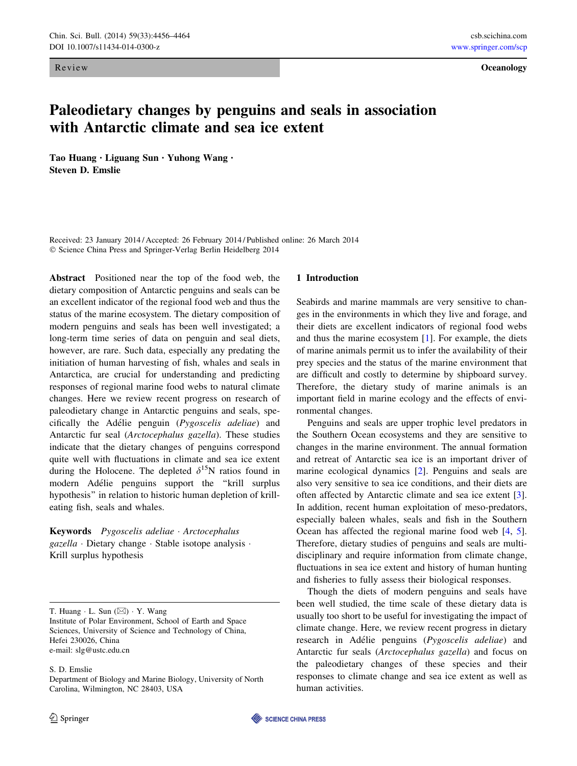Review **Oceanology** 

# Paleodietary changes by penguins and seals in association with Antarctic climate and sea ice extent

Tao Huang • Liguang Sun • Yuhong Wang • Steven D. Emslie

Received: 23 January 2014 / Accepted: 26 February 2014 / Published online: 26 March 2014 - Science China Press and Springer-Verlag Berlin Heidelberg 2014

Abstract Positioned near the top of the food web, the dietary composition of Antarctic penguins and seals can be an excellent indicator of the regional food web and thus the status of the marine ecosystem. The dietary composition of modern penguins and seals has been well investigated; a long-term time series of data on penguin and seal diets, however, are rare. Such data, especially any predating the initiation of human harvesting of fish, whales and seals in Antarctica, are crucial for understanding and predicting responses of regional marine food webs to natural climate changes. Here we review recent progress on research of paleodietary change in Antarctic penguins and seals, specifically the Adélie penguin (Pygoscelis adeliae) and Antarctic fur seal (Arctocephalus gazella). These studies indicate that the dietary changes of penguins correspond quite well with fluctuations in climate and sea ice extent during the Holocene. The depleted  $\delta^{15}N$  ratios found in modern Adélie penguins support the "krill surplus hypothesis'' in relation to historic human depletion of krilleating fish, seals and whales.

Keywords Pygoscelis adeliae · Arctocephalus gazella - Dietary change - Stable isotope analysis - Krill surplus hypothesis

T. Huang  $\cdot$  L. Sun ( $\boxtimes$ )  $\cdot$  Y. Wang Institute of Polar Environment, School of Earth and Space Sciences, University of Science and Technology of China, Hefei 230026, China e-mail: slg@ustc.edu.cn

S. D. Emslie

### 1 Introduction

Seabirds and marine mammals are very sensitive to changes in the environments in which they live and forage, and their diets are excellent indicators of regional food webs and thus the marine ecosystem [[1\]](#page-6-0). For example, the diets of marine animals permit us to infer the availability of their prey species and the status of the marine environment that are difficult and costly to determine by shipboard survey. Therefore, the dietary study of marine animals is an important field in marine ecology and the effects of environmental changes.

Penguins and seals are upper trophic level predators in the Southern Ocean ecosystems and they are sensitive to changes in the marine environment. The annual formation and retreat of Antarctic sea ice is an important driver of marine ecological dynamics [\[2](#page-6-0)]. Penguins and seals are also very sensitive to sea ice conditions, and their diets are often affected by Antarctic climate and sea ice extent [\[3](#page-6-0)]. In addition, recent human exploitation of meso-predators, especially baleen whales, seals and fish in the Southern Ocean has affected the regional marine food web [[4,](#page-6-0) [5](#page-6-0)]. Therefore, dietary studies of penguins and seals are multidisciplinary and require information from climate change, fluctuations in sea ice extent and history of human hunting and fisheries to fully assess their biological responses.

Though the diets of modern penguins and seals have been well studied, the time scale of these dietary data is usually too short to be useful for investigating the impact of climate change. Here, we review recent progress in dietary research in Adélie penguins (*Pygoscelis adeliae*) and Antarctic fur seals (Arctocephalus gazella) and focus on the paleodietary changes of these species and their responses to climate change and sea ice extent as well as human activities.

Department of Biology and Marine Biology, University of North Carolina, Wilmington, NC 28403, USA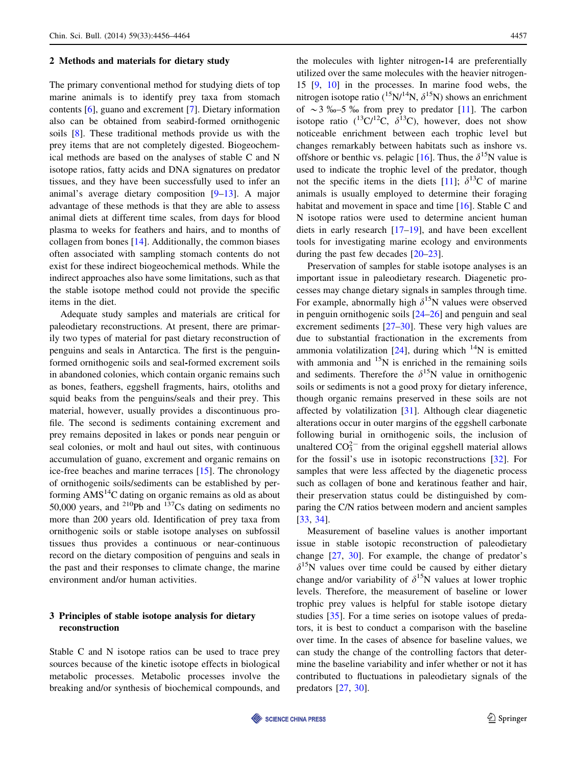#### 2 Methods and materials for dietary study

The primary conventional method for studying diets of top marine animals is to identify prey taxa from stomach contents [\[6](#page-6-0)], guano and excrement [[7\]](#page-6-0). Dietary information also can be obtained from seabird-formed ornithogenic soils [\[8](#page-6-0)]. These traditional methods provide us with the prey items that are not completely digested. Biogeochemical methods are based on the analyses of stable C and N isotope ratios, fatty acids and DNA signatures on predator tissues, and they have been successfully used to infer an animal's average dietary composition [[9–13\]](#page-6-0). A major advantage of these methods is that they are able to assess animal diets at different time scales, from days for blood plasma to weeks for feathers and hairs, and to months of collagen from bones [[14\]](#page-6-0). Additionally, the common biases often associated with sampling stomach contents do not exist for these indirect biogeochemical methods. While the indirect approaches also have some limitations, such as that the stable isotope method could not provide the specific items in the diet.

Adequate study samples and materials are critical for paleodietary reconstructions. At present, there are primarily two types of material for past dietary reconstruction of penguins and seals in Antarctica. The first is the penguinformed ornithogenic soils and seal-formed excrement soils in abandoned colonies, which contain organic remains such as bones, feathers, eggshell fragments, hairs, otoliths and squid beaks from the penguins/seals and their prey. This material, however, usually provides a discontinuous profile. The second is sediments containing excrement and prey remains deposited in lakes or ponds near penguin or seal colonies, or molt and haul out sites, with continuous accumulation of guano, excrement and organic remains on ice-free beaches and marine terraces [[15\]](#page-6-0). The chronology of ornithogenic soils/sediments can be established by performing  $\angle AMS^{14}C$  dating on organic remains as old as about 50,000 years, and  $^{210}Pb$  and  $^{137}Cs$  dating on sediments no more than 200 years old. Identification of prey taxa from ornithogenic soils or stable isotope analyses on subfossil tissues thus provides a continuous or near-continuous record on the dietary composition of penguins and seals in the past and their responses to climate change, the marine environment and/or human activities.

## 3 Principles of stable isotope analysis for dietary reconstruction

Stable C and N isotope ratios can be used to trace prey sources because of the kinetic isotope effects in biological metabolic processes. Metabolic processes involve the breaking and/or synthesis of biochemical compounds, and

the molecules with lighter nitrogen-14 are preferentially utilized over the same molecules with the heavier nitrogen-15 [[9,](#page-6-0) [10\]](#page-6-0) in the processes. In marine food webs, the nitrogen isotope ratio ( $^{15}N/^{14}N$ ,  $\delta^{15}N$ ) shows an enrichment of  $\sim$  3 ‰–5 ‰ from prey to predator [\[11](#page-6-0)]. The carbon isotope ratio  $({}^{13}C/{}^{12}C, \delta^{13}C)$ , however, does not show noticeable enrichment between each trophic level but changes remarkably between habitats such as inshore vs. offshore or benthic vs. pelagic [\[16](#page-6-0)]. Thus, the  $\delta^{15}N$  value is used to indicate the trophic level of the predator, though not the specific items in the diets [[11\]](#page-6-0);  $\delta^{13}$ C of marine animals is usually employed to determine their foraging habitat and movement in space and time [\[16](#page-6-0)]. Stable C and N isotope ratios were used to determine ancient human diets in early research [\[17–19](#page-6-0)], and have been excellent tools for investigating marine ecology and environments during the past few decades [\[20–23](#page-6-0)].

Preservation of samples for stable isotope analyses is an important issue in paleodietary research. Diagenetic processes may change dietary signals in samples through time. For example, abnormally high  $\delta^{15}N$  values were observed in penguin ornithogenic soils [[24–26\]](#page-6-0) and penguin and seal excrement sediments [\[27–30](#page-7-0)]. These very high values are due to substantial fractionation in the excrements from ammonia volatilization  $[24]$  $[24]$ , during which <sup>14</sup>N is emitted with ammonia and  $15N$  is enriched in the remaining soils and sediments. Therefore the  $\delta^{15}N$  value in ornithogenic soils or sediments is not a good proxy for dietary inference, though organic remains preserved in these soils are not affected by volatilization [\[31](#page-7-0)]. Although clear diagenetic alterations occur in outer margins of the eggshell carbonate following burial in ornithogenic soils, the inclusion of unaltered  $CO_3^{2-}$  from the original eggshell material allows for the fossil's use in isotopic reconstructions [[32\]](#page-7-0). For samples that were less affected by the diagenetic process such as collagen of bone and keratinous feather and hair, their preservation status could be distinguished by comparing the C/N ratios between modern and ancient samples [\[33](#page-7-0), [34](#page-7-0)].

Measurement of baseline values is another important issue in stable isotopic reconstruction of paleodietary change [[27,](#page-7-0) [30\]](#page-7-0). For example, the change of predator's  $\delta^{15}$ N values over time could be caused by either dietary change and/or variability of  $\delta^{15}N$  values at lower trophic levels. Therefore, the measurement of baseline or lower trophic prey values is helpful for stable isotope dietary studies [[35\]](#page-7-0). For a time series on isotope values of predators, it is best to conduct a comparison with the baseline over time. In the cases of absence for baseline values, we can study the change of the controlling factors that determine the baseline variability and infer whether or not it has contributed to fluctuations in paleodietary signals of the predators [[27,](#page-7-0) [30\]](#page-7-0).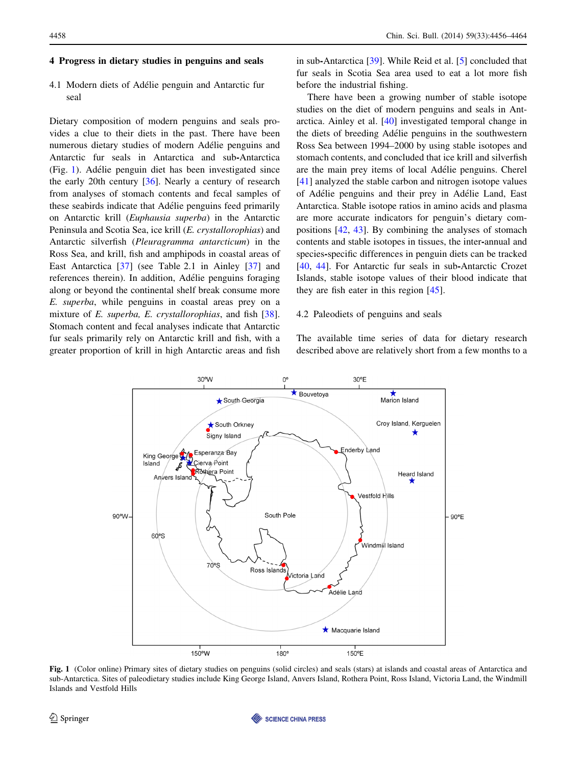## 4 Progress in dietary studies in penguins and seals

## 4.1 Modern diets of Adélie penguin and Antarctic fur seal

Dietary composition of modern penguins and seals provides a clue to their diets in the past. There have been numerous dietary studies of modern Adélie penguins and Antarctic fur seals in Antarctica and sub-Antarctica (Fig. 1). Adélie penguin diet has been investigated since the early 20th century [\[36](#page-7-0)]. Nearly a century of research from analyses of stomach contents and fecal samples of these seabirds indicate that Adélie penguins feed primarily on Antarctic krill (Euphausia superba) in the Antarctic Peninsula and Scotia Sea, ice krill (E. crystallorophias) and Antarctic silverfish (Pleuragramma antarcticum) in the Ross Sea, and krill, fish and amphipods in coastal areas of East Antarctica [[37\]](#page-7-0) (see Table 2.1 in Ainley [\[37](#page-7-0)] and references therein). In addition, Adélie penguins foraging along or beyond the continental shelf break consume more E. superba, while penguins in coastal areas prey on a mixture of *E. superba, E. crystallorophias*, and fish [\[38](#page-7-0)]. Stomach content and fecal analyses indicate that Antarctic fur seals primarily rely on Antarctic krill and fish, with a greater proportion of krill in high Antarctic areas and fish in sub-Antarctica [\[39\]](#page-7-0). While Reid et al. [\[5](#page-6-0)] concluded that fur seals in Scotia Sea area used to eat a lot more fish before the industrial fishing.

There have been a growing number of stable isotope studies on the diet of modern penguins and seals in Antarctica. Ainley et al. [[40\]](#page-7-0) investigated temporal change in the diets of breeding Adélie penguins in the southwestern Ross Sea between 1994–2000 by using stable isotopes and stomach contents, and concluded that ice krill and silverfish are the main prey items of local Adélie penguins. Cherel [\[41](#page-7-0)] analyzed the stable carbon and nitrogen isotope values of Adélie penguins and their prey in Adélie Land, East Antarctica. Stable isotope ratios in amino acids and plasma are more accurate indicators for penguin's dietary compositions [\[42](#page-7-0), [43](#page-7-0)]. By combining the analyses of stomach contents and stable isotopes in tissues, the inter-annual and species-specific differences in penguin diets can be tracked [\[40](#page-7-0), [44](#page-7-0)]. For Antarctic fur seals in sub-Antarctic Crozet Islands, stable isotope values of their blood indicate that they are fish eater in this region [[45\]](#page-7-0).

## 4.2 Paleodiets of penguins and seals

The available time series of data for dietary research described above are relatively short from a few months to a



Fig. 1 (Color online) Primary sites of dietary studies on penguins (solid circles) and seals (stars) at islands and coastal areas of Antarctica and sub-Antarctica. Sites of paleodietary studies include King George Island, Anvers Island, Rothera Point, Ross Island, Victoria Land, the Windmill Islands and Vestfold Hills

**SCIENCE CHINA PRESS**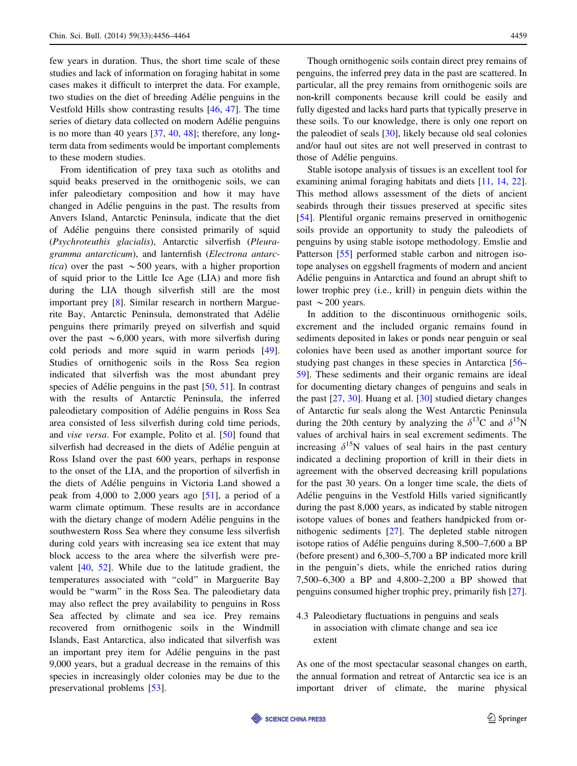few years in duration. Thus, the short time scale of these studies and lack of information on foraging habitat in some cases makes it difficult to interpret the data. For example, two studies on the diet of breeding Adélie penguins in the Vestfold Hills show contrasting results [\[46,](#page-7-0) [47\]](#page-7-0). The time series of dietary data collected on modern Adélie penguins is no more than 40 years [[37](#page-7-0), [40](#page-7-0), [48\]](#page-7-0); therefore, any longterm data from sediments would be important complements to these modern studies.

From identification of prey taxa such as otoliths and squid beaks preserved in the ornithogenic soils, we can infer paleodietary composition and how it may have changed in Adélie penguins in the past. The results from Anvers Island, Antarctic Peninsula, indicate that the diet of Adélie penguins there consisted primarily of squid (Psychroteuthis glacialis), Antarctic silverfish (Pleuragramma antarcticum), and lanternfish (Electrona antarc*tica*) over the past  $\sim$  500 years, with a higher proportion of squid prior to the Little Ice Age (LIA) and more fish during the LIA though silverfish still are the most important prey [\[8](#page-6-0)]. Similar research in northern Marguerite Bay, Antarctic Peninsula, demonstrated that Adélie penguins there primarily preyed on silverfish and squid over the past  $\sim 6,000$  years, with more silverfish during cold periods and more squid in warm periods [\[49](#page-7-0)]. Studies of ornithogenic soils in the Ross Sea region indicated that silverfish was the most abundant prey species of Adélie penguins in the past  $[50, 51]$  $[50, 51]$  $[50, 51]$  $[50, 51]$  $[50, 51]$ . In contrast with the results of Antarctic Peninsula, the inferred paleodietary composition of Adélie penguins in Ross Sea area consisted of less silverfish during cold time periods, and vise versa. For example, Polito et al. [[50\]](#page-7-0) found that silverfish had decreased in the diets of Adélie penguin at Ross Island over the past 600 years, perhaps in response to the onset of the LIA, and the proportion of silverfish in the diets of Adélie penguins in Victoria Land showed a peak from  $4,000$  to  $2,000$  years ago  $[51]$  $[51]$ , a period of a warm climate optimum. These results are in accordance with the dietary change of modern Adélie penguins in the southwestern Ross Sea where they consume less silverfish during cold years with increasing sea ice extent that may block access to the area where the silverfish were prevalent [[40,](#page-7-0) [52](#page-7-0)]. While due to the latitude gradient, the temperatures associated with ''cold'' in Marguerite Bay would be ''warm'' in the Ross Sea. The paleodietary data may also reflect the prey availability to penguins in Ross Sea affected by climate and sea ice. Prey remains recovered from ornithogenic soils in the Windmill Islands, East Antarctica, also indicated that silverfish was an important prey item for Adélie penguins in the past 9,000 years, but a gradual decrease in the remains of this species in increasingly older colonies may be due to the preservational problems [\[53](#page-7-0)].

Though ornithogenic soils contain direct prey remains of penguins, the inferred prey data in the past are scattered. In particular, all the prey remains from ornithogenic soils are non-krill components because krill could be easily and fully digested and lacks hard parts that typically preserve in these soils. To our knowledge, there is only one report on the paleodiet of seals [[30\]](#page-7-0), likely because old seal colonies and/or haul out sites are not well preserved in contrast to those of Adélie penguins.

Stable isotope analysis of tissues is an excellent tool for examining animal foraging habitats and diets [[11](#page-6-0), [14,](#page-6-0) [22](#page-6-0)]. This method allows assessment of the diets of ancient seabirds through their tissues preserved at specific sites [\[54](#page-7-0)]. Plentiful organic remains preserved in ornithogenic soils provide an opportunity to study the paleodiets of penguins by using stable isotope methodology. Emslie and Patterson [[55\]](#page-7-0) performed stable carbon and nitrogen isotope analyses on eggshell fragments of modern and ancient Adélie penguins in Antarctica and found an abrupt shift to lower trophic prey (i.e., krill) in penguin diets within the past  $\sim$  200 years.

In addition to the discontinuous ornithogenic soils, excrement and the included organic remains found in sediments deposited in lakes or ponds near penguin or seal colonies have been used as another important source for studying past changes in these species in Antarctica [\[56](#page-7-0)– [59](#page-7-0)]. These sediments and their organic remains are ideal for documenting dietary changes of penguins and seals in the past [[27,](#page-7-0) [30\]](#page-7-0). Huang et al. [\[30](#page-7-0)] studied dietary changes of Antarctic fur seals along the West Antarctic Peninsula during the 20th century by analyzing the  $\delta^{13}C$  and  $\delta^{15}N$ values of archival hairs in seal excrement sediments. The increasing  $\delta^{15}N$  values of seal hairs in the past century indicated a declining proportion of krill in their diets in agreement with the observed decreasing krill populations for the past 30 years. On a longer time scale, the diets of Adélie penguins in the Vestfold Hills varied significantly during the past 8,000 years, as indicated by stable nitrogen isotope values of bones and feathers handpicked from ornithogenic sediments [[27\]](#page-7-0). The depleted stable nitrogen isotope ratios of Adélie penguins during 8,500–7,600 a BP (before present) and 6,300–5,700 a BP indicated more krill in the penguin's diets, while the enriched ratios during 7,500–6,300 a BP and 4,800–2,200 a BP showed that penguins consumed higher trophic prey, primarily fish [\[27](#page-7-0)].

# 4.3 Paleodietary fluctuations in penguins and seals in association with climate change and sea ice extent

As one of the most spectacular seasonal changes on earth, the annual formation and retreat of Antarctic sea ice is an important driver of climate, the marine physical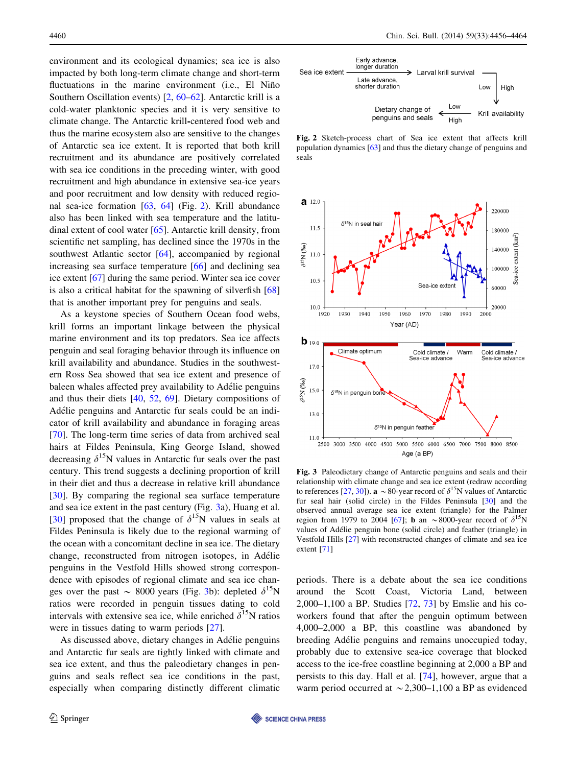environment and its ecological dynamics; sea ice is also impacted by both long-term climate change and short-term fluctuations in the marine environment (i.e., El Niño Southern Oscillation events) [[2,](#page-6-0) [60–62\]](#page-7-0). Antarctic krill is a cold-water planktonic species and it is very sensitive to climate change. The Antarctic krill-centered food web and thus the marine ecosystem also are sensitive to the changes of Antarctic sea ice extent. It is reported that both krill recruitment and its abundance are positively correlated with sea ice conditions in the preceding winter, with good recruitment and high abundance in extensive sea-ice years and poor recruitment and low density with reduced regional sea-ice formation [[63,](#page-7-0) [64](#page-7-0)] (Fig. 2). Krill abundance also has been linked with sea temperature and the latitudinal extent of cool water [[65\]](#page-7-0). Antarctic krill density, from scientific net sampling, has declined since the 1970s in the southwest Atlantic sector [\[64](#page-7-0)], accompanied by regional increasing sea surface temperature [\[66](#page-7-0)] and declining sea ice extent [\[67](#page-7-0)] during the same period. Winter sea ice cover is also a critical habitat for the spawning of silverfish [[68\]](#page-7-0) that is another important prey for penguins and seals.

As a keystone species of Southern Ocean food webs, krill forms an important linkage between the physical marine environment and its top predators. Sea ice affects penguin and seal foraging behavior through its influence on krill availability and abundance. Studies in the southwestern Ross Sea showed that sea ice extent and presence of baleen whales affected prey availability to Adélie penguins and thus their diets [[40,](#page-7-0) [52](#page-7-0), [69](#page-7-0)]. Dietary compositions of Adélie penguins and Antarctic fur seals could be an indicator of krill availability and abundance in foraging areas [\[70](#page-7-0)]. The long-term time series of data from archived seal hairs at Fildes Peninsula, King George Island, showed decreasing  $\delta^{15}N$  values in Antarctic fur seals over the past century. This trend suggests a declining proportion of krill in their diet and thus a decrease in relative krill abundance [\[30](#page-7-0)]. By comparing the regional sea surface temperature and sea ice extent in the past century (Fig. 3a), Huang et al. [\[30](#page-7-0)] proposed that the change of  $\delta^{15}N$  values in seals at Fildes Peninsula is likely due to the regional warming of the ocean with a concomitant decline in sea ice. The dietary change, reconstructed from nitrogen isotopes, in Adélie penguins in the Vestfold Hills showed strong correspondence with episodes of regional climate and sea ice changes over the past  $\sim 8000$  years (Fig. 3b): depleted  $\delta^{15}N$ ratios were recorded in penguin tissues dating to cold intervals with extensive sea ice, while enriched  $\delta^{15}N$  ratios were in tissues dating to warm periods [[27](#page-7-0)].

As discussed above, dietary changes in Adélie penguins and Antarctic fur seals are tightly linked with climate and sea ice extent, and thus the paleodietary changes in penguins and seals reflect sea ice conditions in the past, especially when comparing distinctly different climatic



Fig. 2 Sketch-process chart of Sea ice extent that affects krill population dynamics [[63](#page-7-0)] and thus the dietary change of penguins and seals



Fig. 3 Paleodietary change of Antarctic penguins and seals and their relationship with climate change and sea ice extent (redraw according to references [[27](#page-7-0), [30\]](#page-7-0)).  $\mathbf{a} \sim 80$ -year record of  $\delta^{15}$ N values of Antarctic fur seal hair (solid circle) in the Fildes Peninsula [[30](#page-7-0)] and the observed annual average sea ice extent (triangle) for the Palmer region from 1979 to 2004 [[67](#page-7-0)]; **b** an  $\sim 8000$ -year record of  $\delta^{15}N$ values of Adélie penguin bone (solid circle) and feather (triangle) in Vestfold Hills [[27](#page-7-0)] with reconstructed changes of climate and sea ice extent [[71](#page-7-0)]

periods. There is a debate about the sea ice conditions around the Scott Coast, Victoria Land, between 2,000–1,100 a BP. Studies [\[72](#page-8-0), [73](#page-8-0)] by Emslie and his coworkers found that after the penguin optimum between 4,000–2,000 a BP, this coastline was abandoned by breeding Adélie penguins and remains unoccupied today, probably due to extensive sea-ice coverage that blocked access to the ice-free coastline beginning at 2,000 a BP and persists to this day. Hall et al. [\[74](#page-8-0)], however, argue that a warm period occurred at  $\sim$  2,300–1,100 a BP as evidenced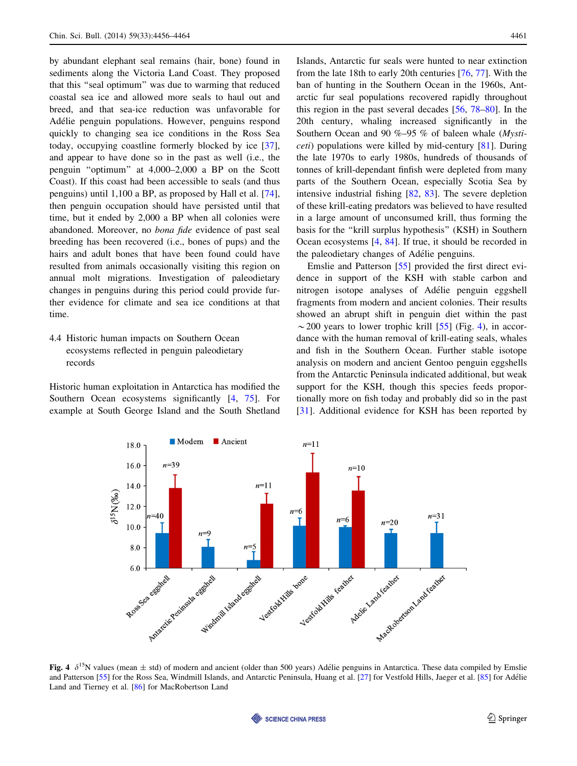<span id="page-5-0"></span>by abundant elephant seal remains (hair, bone) found in sediments along the Victoria Land Coast. They proposed that this ''seal optimum'' was due to warming that reduced coastal sea ice and allowed more seals to haul out and breed, and that sea-ice reduction was unfavorable for Adélie penguin populations. However, penguins respond quickly to changing sea ice conditions in the Ross Sea today, occupying coastline formerly blocked by ice [\[37](#page-7-0)], and appear to have done so in the past as well (i.e., the penguin ''optimum'' at 4,000–2,000 a BP on the Scott Coast). If this coast had been accessible to seals (and thus penguins) until 1,100 a BP, as proposed by Hall et al. [\[74](#page-8-0)], then penguin occupation should have persisted until that time, but it ended by 2,000 a BP when all colonies were abandoned. Moreover, no bona fide evidence of past seal breeding has been recovered (i.e., bones of pups) and the hairs and adult bones that have been found could have resulted from animals occasionally visiting this region on annual molt migrations. Investigation of paleodietary changes in penguins during this period could provide further evidence for climate and sea ice conditions at that time.

4.4 Historic human impacts on Southern Ocean ecosystems reflected in penguin paleodietary records

Historic human exploitation in Antarctica has modified the Southern Ocean ecosystems significantly [\[4](#page-6-0), [75\]](#page-8-0). For example at South George Island and the South Shetland Islands, Antarctic fur seals were hunted to near extinction from the late 18th to early 20th centuries [[76,](#page-8-0) [77\]](#page-8-0). With the ban of hunting in the Southern Ocean in the 1960s, Antarctic fur seal populations recovered rapidly throughout this region in the past several decades [\[56](#page-7-0), [78–80\]](#page-8-0). In the 20th century, whaling increased significantly in the Southern Ocean and 90 %–95 % of baleen whale (Mysticeti) populations were killed by mid-century [[81\]](#page-8-0). During the late 1970s to early 1980s, hundreds of thousands of tonnes of krill-dependant finfish were depleted from many parts of the Southern Ocean, especially Scotia Sea by intensive industrial fishing [\[82](#page-8-0), [83](#page-8-0)]. The severe depletion of these krill-eating predators was believed to have resulted in a large amount of unconsumed krill, thus forming the basis for the ''krill surplus hypothesis'' (KSH) in Southern Ocean ecosystems [[4,](#page-6-0) [84](#page-8-0)]. If true, it should be recorded in the paleodietary changes of Adélie penguins.

Emslie and Patterson [\[55](#page-7-0)] provided the first direct evidence in support of the KSH with stable carbon and nitrogen isotope analyses of Adélie penguin eggshell fragments from modern and ancient colonies. Their results showed an abrupt shift in penguin diet within the past  $\sim$  200 years to lower trophic krill [\[55](#page-7-0)] (Fig. 4), in accordance with the human removal of krill-eating seals, whales and fish in the Southern Ocean. Further stable isotope analysis on modern and ancient Gentoo penguin eggshells from the Antarctic Peninsula indicated additional, but weak support for the KSH, though this species feeds proportionally more on fish today and probably did so in the past [\[31](#page-7-0)]. Additional evidence for KSH has been reported by



Fig. 4  $\delta^{15}$ N values (mean  $\pm$  std) of modern and ancient (older than 500 years) Adélie penguins in Antarctica. These data compiled by Emslie and Patterson [\[55\]](#page-7-0) for the Ross Sea, Windmill Islands, and Antarctic Peninsula, Huang et al. [[27](#page-7-0)] for Vestfold Hills, Jaeger et al. [[85](#page-8-0)] for Adélie Land and Tierney et al. [[86](#page-8-0)] for MacRobertson Land

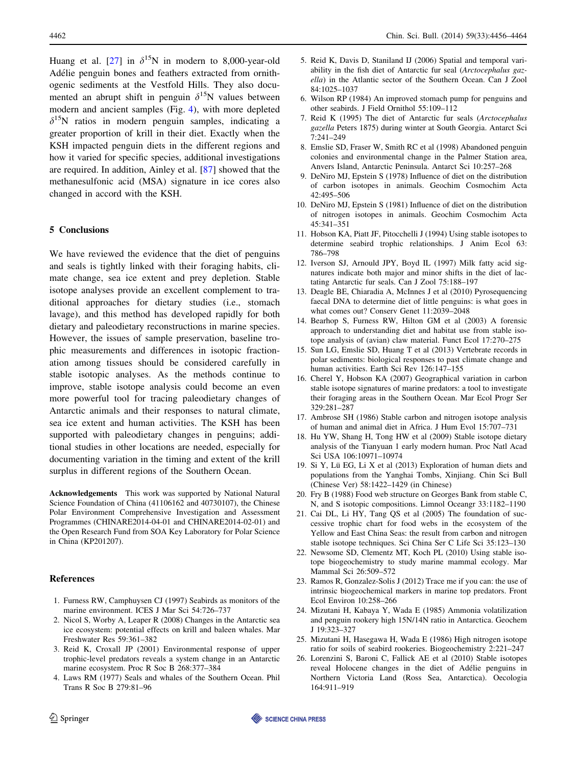<span id="page-6-0"></span>Huang et al. [\[27](#page-7-0)] in  $\delta^{15}N$  in modern to 8,000-year-old Adélie penguin bones and feathers extracted from ornithogenic sediments at the Vestfold Hills. They also documented an abrupt shift in penguin  $\delta^{15}N$  values between modern and ancient samples (Fig. [4\)](#page-5-0), with more depleted  $\delta^{15}$ N ratios in modern penguin samples, indicating a greater proportion of krill in their diet. Exactly when the KSH impacted penguin diets in the different regions and how it varied for specific species, additional investigations are required. In addition, Ainley et al. [[87\]](#page-8-0) showed that the methanesulfonic acid (MSA) signature in ice cores also changed in accord with the KSH.

## 5 Conclusions

We have reviewed the evidence that the diet of penguins and seals is tightly linked with their foraging habits, climate change, sea ice extent and prey depletion. Stable isotope analyses provide an excellent complement to traditional approaches for dietary studies (i.e., stomach lavage), and this method has developed rapidly for both dietary and paleodietary reconstructions in marine species. However, the issues of sample preservation, baseline trophic measurements and differences in isotopic fractionation among tissues should be considered carefully in stable isotopic analyses. As the methods continue to improve, stable isotope analysis could become an even more powerful tool for tracing paleodietary changes of Antarctic animals and their responses to natural climate, sea ice extent and human activities. The KSH has been supported with paleodietary changes in penguins; additional studies in other locations are needed, especially for documenting variation in the timing and extent of the krill surplus in different regions of the Southern Ocean.

Acknowledgements This work was supported by National Natural Science Foundation of China (41106162 and 40730107), the Chinese Polar Environment Comprehensive Investigation and Assessment Programmes (CHINARE2014-04-01 and CHINARE2014-02-01) and the Open Research Fund from SOA Key Laboratory for Polar Science in China (KP201207).

### References

- 1. Furness RW, Camphuysen CJ (1997) Seabirds as monitors of the marine environment. ICES J Mar Sci 54:726–737
- 2. Nicol S, Worby A, Leaper R (2008) Changes in the Antarctic sea ice ecosystem: potential effects on krill and baleen whales. Mar Freshwater Res 59:361–382
- 3. Reid K, Croxall JP (2001) Environmental response of upper trophic-level predators reveals a system change in an Antarctic marine ecosystem. Proc R Soc B 268:377–384
- 4. Laws RM (1977) Seals and whales of the Southern Ocean. Phil Trans R Soc B 279:81–96
- 5. Reid K, Davis D, Staniland IJ (2006) Spatial and temporal variability in the fish diet of Antarctic fur seal (Arctocephalus gazella) in the Atlantic sector of the Southern Ocean. Can J Zool 84:1025–1037
- 6. Wilson RP (1984) An improved stomach pump for penguins and other seabirds. J Field Ornithol 55:109–112
- 7. Reid K (1995) The diet of Antarctic fur seals (Arctocephalus gazella Peters 1875) during winter at South Georgia. Antarct Sci 7:241–249
- 8. Emslie SD, Fraser W, Smith RC et al (1998) Abandoned penguin colonies and environmental change in the Palmer Station area, Anvers Island, Antarctic Peninsula. Antarct Sci 10:257–268
- 9. DeNiro MJ, Epstein S (1978) Influence of diet on the distribution of carbon isotopes in animals. Geochim Cosmochim Acta 42:495–506
- 10. DeNiro MJ, Epstein S (1981) Influence of diet on the distribution of nitrogen isotopes in animals. Geochim Cosmochim Acta 45:341–351
- 11. Hobson KA, Piatt JF, Pitocchelli J (1994) Using stable isotopes to determine seabird trophic relationships. J Anim Ecol 63: 786–798
- 12. Iverson SJ, Arnould JPY, Boyd IL (1997) Milk fatty acid signatures indicate both major and minor shifts in the diet of lactating Antarctic fur seals. Can J Zool 75:188–197
- 13. Deagle BE, Chiaradia A, McInnes J et al (2010) Pyrosequencing faecal DNA to determine diet of little penguins: is what goes in what comes out? Conserv Genet 11:2039–2048
- 14. Bearhop S, Furness RW, Hilton GM et al (2003) A forensic approach to understanding diet and habitat use from stable isotope analysis of (avian) claw material. Funct Ecol 17:270–275
- 15. Sun LG, Emslie SD, Huang T et al (2013) Vertebrate records in polar sediments: biological responses to past climate change and human activities. Earth Sci Rev 126:147–155
- 16. Cherel Y, Hobson KA (2007) Geographical variation in carbon stable isotope signatures of marine predators: a tool to investigate their foraging areas in the Southern Ocean. Mar Ecol Progr Ser 329:281–287
- 17. Ambrose SH (1986) Stable carbon and nitrogen isotope analysis of human and animal diet in Africa. J Hum Evol 15:707–731
- 18. Hu YW, Shang H, Tong HW et al (2009) Stable isotope dietary analysis of the Tianyuan 1 early modern human. Proc Natl Acad Sci USA 106:10971–10974
- 19. Si Y, Lu¨ EG, Li X et al (2013) Exploration of human diets and populations from the Yanghai Tombs, Xinjiang. Chin Sci Bull (Chinese Ver) 58:1422–1429 (in Chinese)
- 20. Fry B (1988) Food web structure on Georges Bank from stable C, N, and S isotopic compositions. Limnol Oceangr 33:1182–1190
- 21. Cai DL, Li HY, Tang QS et al (2005) The foundation of successive trophic chart for food webs in the ecosystem of the Yellow and East China Seas: the result from carbon and nitrogen stable isotope techniques. Sci China Ser C Life Sci 35:123–130
- 22. Newsome SD, Clementz MT, Koch PL (2010) Using stable isotope biogeochemistry to study marine mammal ecology. Mar Mammal Sci 26:509–572
- 23. Ramos R, Gonzalez-Solis J (2012) Trace me if you can: the use of intrinsic biogeochemical markers in marine top predators. Front Ecol Environ 10:258–266
- 24. Mizutani H, Kabaya Y, Wada E (1985) Ammonia volatilization and penguin rookery high 15N/14N ratio in Antarctica. Geochem J 19:323–327
- 25. Mizutani H, Hasegawa H, Wada E (1986) High nitrogen isotope ratio for soils of seabird rookeries. Biogeochemistry 2:221–247
- 26. Lorenzini S, Baroni C, Fallick AE et al (2010) Stable isotopes reveal Holocene changes in the diet of Adélie penguins in Northern Victoria Land (Ross Sea, Antarctica). Oecologia 164:911–919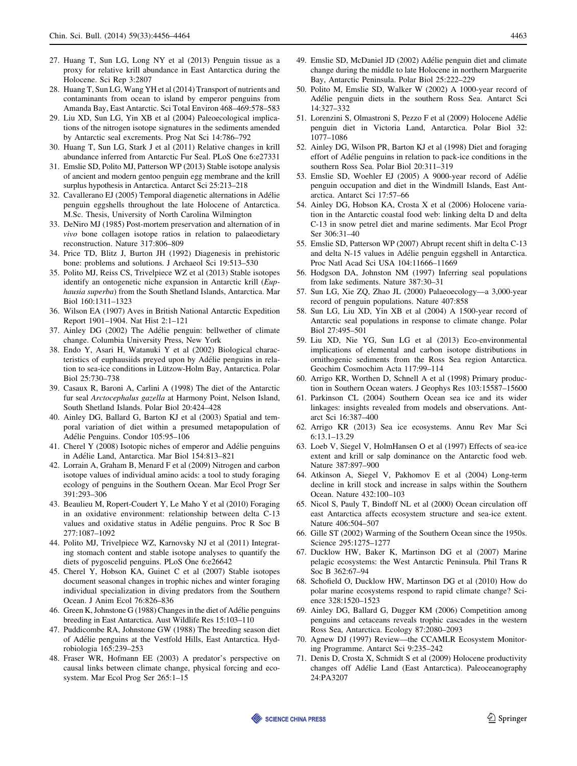- <span id="page-7-0"></span>27. Huang T, Sun LG, Long NY et al (2013) Penguin tissue as a proxy for relative krill abundance in East Antarctica during the Holocene. Sci Rep 3:2807
- 28. Huang T, Sun LG, Wang YH et al (2014) Transport of nutrients and contaminants from ocean to island by emperor penguins from Amanda Bay, East Antarctic. Sci Total Environ 468–469:578–583
- 29. Liu XD, Sun LG, Yin XB et al (2004) Paleoecological implications of the nitrogen isotope signatures in the sediments amended by Antarctic seal excrements. Prog Nat Sci 14:786–792
- 30. Huang T, Sun LG, Stark J et al (2011) Relative changes in krill abundance inferred from Antarctic Fur Seal. PLoS One 6:e27331
- 31. Emslie SD, Polito MJ, Patterson WP (2013) Stable isotope analysis of ancient and modern gentoo penguin egg membrane and the krill surplus hypothesis in Antarctica. Antarct Sci 25:213-218
- 32. Cavallerano EJ (2005) Temporal diagenetic alternations in Adélie penguin eggshells throughout the late Holocene of Antarctica. M.Sc. Thesis, University of North Carolina Wilmington
- 33. DeNiro MJ (1985) Post-mortem preservation and alternation of in vivo bone collagen isotope ratios in relation to palaeodietary reconstruction. Nature 317:806–809
- 34. Price TD, Blitz J, Burton JH (1992) Diagenesis in prehistoric bone: problems and solutions. J Archaeol Sci 19:513–530
- 35. Polito MJ, Reiss CS, Trivelpiece WZ et al (2013) Stable isotopes identify an ontogenetic niche expansion in Antarctic krill (Euphausia superba) from the South Shetland Islands, Antarctica. Mar Biol 160:1311–1323
- 36. Wilson EA (1907) Aves in British National Antarctic Expedition Report 1901–1904. Nat Hist 2:1–121
- 37. Ainley DG (2002) The Adélie penguin: bellwether of climate change. Columbia University Press, New York
- 38. Endo Y, Asari H, Watanuki Y et al (2002) Biological characteristics of euphausiids preyed upon by Adélie penguins in relation to sea-ice conditions in Lützow-Holm Bay, Antarctica. Polar Biol 25:730–738
- 39. Casaux R, Baroni A, Carlini A (1998) The diet of the Antarctic fur seal Arctocephalus gazella at Harmony Point, Nelson Island, South Shetland Islands. Polar Biol 20:424–428
- 40. Ainley DG, Ballard G, Barton KJ et al (2003) Spatial and temporal variation of diet within a presumed metapopulation of Adélie Penguins. Condor 105:95-106
- 41. Cherel Y (2008) Isotopic niches of emperor and Adélie penguins in Adélie Land, Antarctica. Mar Biol 154:813-821
- 42. Lorrain A, Graham B, Menard F et al (2009) Nitrogen and carbon isotope values of individual amino acids: a tool to study foraging ecology of penguins in the Southern Ocean. Mar Ecol Progr Ser 391:293–306
- 43. Beaulieu M, Ropert-Coudert Y, Le Maho Y et al (2010) Foraging in an oxidative environment: relationship between delta C-13 values and oxidative status in Adélie penguins. Proc R Soc B 277:1087–1092
- 44. Polito MJ, Trivelpiece WZ, Karnovsky NJ et al (2011) Integrating stomach content and stable isotope analyses to quantify the diets of pygoscelid penguins. PLoS One 6:e26642
- 45. Cherel Y, Hobson KA, Guinet C et al (2007) Stable isotopes document seasonal changes in trophic niches and winter foraging individual specialization in diving predators from the Southern Ocean. J Anim Ecol 76:826–836
- 46. Green K, Johnstone G (1988) Changes in the diet of Adélie penguins breeding in East Antarctica. Aust Wildlife Res 15:103–110
- 47. Puddicombe RA, Johnstone GW (1988) The breeding season diet of Adélie penguins at the Vestfold Hills, East Antarctica. Hydrobiologia 165:239–253
- 48. Fraser WR, Hofmann EE (2003) A predator's perspective on causal links between climate change, physical forcing and ecosystem. Mar Ecol Prog Ser 265:1–15
- 49. Emslie SD, McDaniel JD (2002) Adélie penguin diet and climate change during the middle to late Holocene in northern Marguerite Bay, Antarctic Peninsula. Polar Biol 25:222–229
- 50. Polito M, Emslie SD, Walker W (2002) A 1000-year record of Adélie penguin diets in the southern Ross Sea. Antarct Sci 14:327–332
- 51. Lorenzini S, Olmastroni S, Pezzo F et al (2009) Holocene Adélie penguin diet in Victoria Land, Antarctica. Polar Biol 32: 1077–1086
- 52. Ainley DG, Wilson PR, Barton KJ et al (1998) Diet and foraging effort of Adélie penguins in relation to pack-ice conditions in the southern Ross Sea. Polar Biol 20:311–319
- 53. Emslie SD, Woehler EJ (2005) A 9000-year record of Adélie penguin occupation and diet in the Windmill Islands, East Antarctica. Antarct Sci 17:57–66
- 54. Ainley DG, Hobson KA, Crosta X et al (2006) Holocene variation in the Antarctic coastal food web: linking delta D and delta C-13 in snow petrel diet and marine sediments. Mar Ecol Progr Ser 306:31–40
- 55. Emslie SD, Patterson WP (2007) Abrupt recent shift in delta C-13 and delta N-15 values in Adélie penguin eggshell in Antarctica. Proc Natl Acad Sci USA 104:11666–11669
- 56. Hodgson DA, Johnston NM (1997) Inferring seal populations from lake sediments. Nature 387:30–31
- 57. Sun LG, Xie ZQ, Zhao JL (2000) Palaeoecology—a 3,000-year record of penguin populations. Nature 407:858
- 58. Sun LG, Liu XD, Yin XB et al (2004) A 1500-year record of Antarctic seal populations in response to climate change. Polar Biol 27:495–501
- 59. Liu XD, Nie YG, Sun LG et al (2013) Eco-environmental implications of elemental and carbon isotope distributions in ornithogenic sediments from the Ross Sea region Antarctica. Geochim Cosmochim Acta 117:99–114
- 60. Arrigo KR, Worthen D, Schnell A et al (1998) Primary production in Southern Ocean waters. J Geophys Res 103:15587–15600
- 61. Parkinson CL (2004) Southern Ocean sea ice and its wider linkages: insights revealed from models and observations. Antarct Sci 16:387–400
- 62. Arrigo KR (2013) Sea ice ecosystems. Annu Rev Mar Sci 6:13.1–13.29
- 63. Loeb V, Siegel V, HolmHansen O et al (1997) Effects of sea-ice extent and krill or salp dominance on the Antarctic food web. Nature 387:897–900
- 64. Atkinson A, Siegel V, Pakhomov E et al (2004) Long-term decline in krill stock and increase in salps within the Southern Ocean. Nature 432:100–103
- 65. Nicol S, Pauly T, Bindoff NL et al (2000) Ocean circulation off east Antarctica affects ecosystem structure and sea-ice extent. Nature 406:504–507
- 66. Gille ST (2002) Warming of the Southern Ocean since the 1950s. Science 295:1275–1277
- 67. Ducklow HW, Baker K, Martinson DG et al (2007) Marine pelagic ecosystems: the West Antarctic Peninsula. Phil Trans R Soc B 362:67–94
- 68. Schofield O, Ducklow HW, Martinson DG et al (2010) How do polar marine ecosystems respond to rapid climate change? Science 328:1520–1523
- 69. Ainley DG, Ballard G, Dugger KM (2006) Competition among penguins and cetaceans reveals trophic cascades in the western Ross Sea, Antarctica. Ecology 87:2080–2093
- 70. Agnew DJ (1997) Review—the CCAMLR Ecosystem Monitoring Programme. Antarct Sci 9:235–242
- 71. Denis D, Crosta X, Schmidt S et al (2009) Holocene productivity changes off Adélie Land (East Antarctica). Paleoceanography 24:PA3207